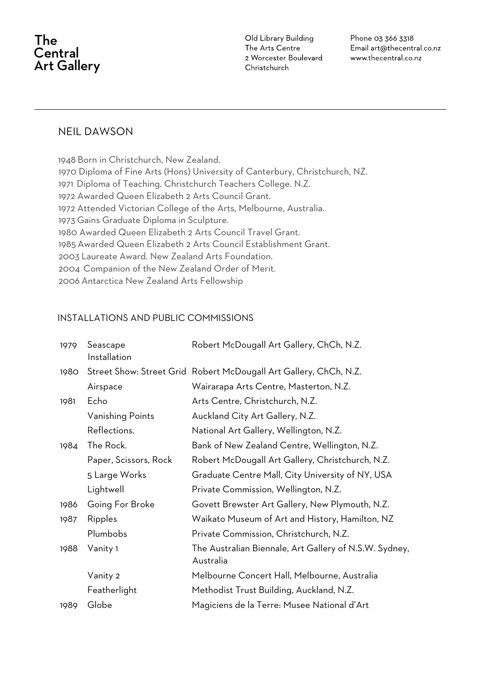# The Central **Art Gallery**

Old Library Building The Arts Centre 2 Worcester Boulevard Christchurch

Phone 03 366 3318 Email art@thecentral.co.nz www.thecentral.co.nz

### NEIL DAWSON

 Born in Christchurch, New Zealand. 1970 Diploma of Fine Arts (Hons) University of Canterbury, Christchurch, NZ. Diploma of Teaching. Christchurch Teachers College. N.Z. 1972 Awarded Queen Elizabeth 2 Arts Council Grant. 1972 Attended Victorian College of the Arts, Melbourne, Australia. Gains Graduate Diploma in Sculpture. 1980 Awarded Queen Elizabeth 2 Arts Council Travel Grant. Awarded Queen Elizabeth 2 Arts Council Establishment Grant. Laureate Award. New Zealand Arts Foundation. Companion of the New Zealand Order of Merit. Antarctica New Zealand Arts Fellowship

#### INSTALLATIONS AND PUBLIC COMMISSIONS

| 1979 | Seascape<br>Installation | Robert McDougall Art Gallery, ChCh, N.Z.                            |
|------|--------------------------|---------------------------------------------------------------------|
| 1980 |                          | Street Show: Street Grid Robert McDougall Art Gallery, ChCh, N.Z.   |
|      | Airspace                 | Wairarapa Arts Centre, Masterton, N.Z.                              |
| 1981 | Echo                     | Arts Centre, Christchurch, N.Z.                                     |
|      | Vanishing Points         | Auckland City Art Gallery, N.Z.                                     |
|      | Reflections.             | National Art Gallery, Wellington, N.Z.                              |
| 1984 | The Rock.                | Bank of New Zealand Centre, Wellington, N.Z.                        |
|      | Paper, Scissors, Rock    | Robert McDougall Art Gallery, Christchurch, N.Z.                    |
|      | 5 Large Works            | Graduate Centre Mall, City University of NY, USA                    |
|      | Lightwell                | Private Commission, Wellington, N.Z.                                |
| 1986 | Going For Broke          | Govett Brewster Art Gallery, New Plymouth, N.Z.                     |
| 1987 | Ripples                  | Waikato Museum of Art and History, Hamilton, NZ                     |
|      | Plumbobs                 | Private Commission, Christchurch, N.Z.                              |
| 1988 | Vanity 1                 | The Australian Biennale, Art Gallery of N.S.W. Sydney,<br>Australia |
|      | Vanity 2                 | Melbourne Concert Hall, Melbourne, Australia                        |
|      | Featherlight             | Methodist Trust Building, Auckland, N.Z.                            |
| 1989 | Globe                    | Magiciens de la Terre: Musee National d'Art                         |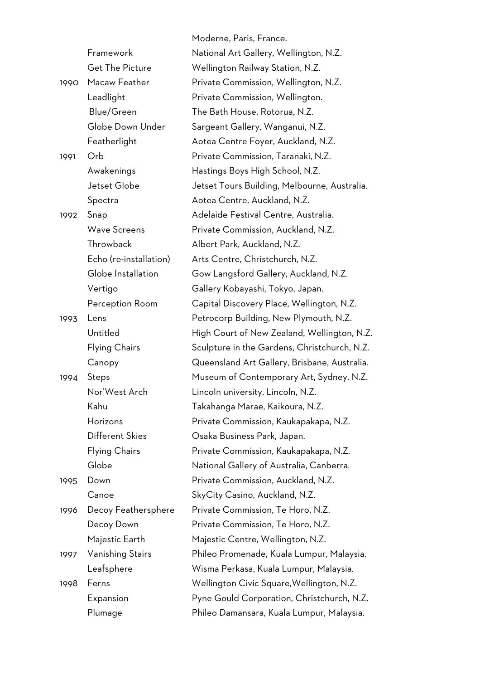|      |                        | Moderne, Paris, France.                      |
|------|------------------------|----------------------------------------------|
|      | Framework              | National Art Gallery, Wellington, N.Z.       |
|      | <b>Get The Picture</b> | Wellington Railway Station, N.Z.             |
| 1990 | Macaw Feather          | Private Commission, Wellington, N.Z.         |
|      | Leadlight              | Private Commission, Wellington.              |
|      | Blue/Green             | The Bath House, Rotorua, N.Z.                |
|      | Globe Down Under       | Sargeant Gallery, Wanganui, N.Z.             |
|      | Featherlight           | Aotea Centre Foyer, Auckland, N.Z.           |
| 1991 | Orb                    | Private Commission, Taranaki, N.Z.           |
|      | Awakenings             | Hastings Boys High School, N.Z.              |
|      | Jetset Globe           | Jetset Tours Building, Melbourne, Australia. |
|      | Spectra                | Aotea Centre, Auckland, N.Z.                 |
| 1992 | Snap                   | Adelaide Festival Centre, Australia.         |
|      | <b>Wave Screens</b>    | Private Commission, Auckland, N.Z.           |
|      | Throwback              | Albert Park, Auckland, N.Z.                  |
|      | Echo (re-installation) | Arts Centre, Christchurch, N.Z.              |
|      | Globe Installation     | Gow Langsford Gallery, Auckland, N.Z.        |
|      | Vertigo                | Gallery Kobayashi, Tokyo, Japan.             |
|      | Perception Room        | Capital Discovery Place, Wellington, N.Z.    |
| 1993 | Lens                   | Petrocorp Building, New Plymouth, N.Z.       |
|      | Untitled               | High Court of New Zealand, Wellington, N.Z.  |
|      | <b>Flying Chairs</b>   | Sculpture in the Gardens, Christchurch, N.Z. |
|      | Canopy                 | Queensland Art Gallery, Brisbane, Australia. |
| 1994 | Steps                  | Museum of Contemporary Art, Sydney, N.Z.     |
|      | Nor'West Arch          | Lincoln university, Lincoln, N.Z.            |
|      | Kahu                   | Takahanga Marae, Kaikoura, N.Z.              |
|      | Horizons               | Private Commission, Kaukapakapa, N.Z.        |
|      | Different Skies        | Osaka Business Park, Japan.                  |
|      | <b>Flying Chairs</b>   | Private Commission, Kaukapakapa, N.Z.        |
|      | Globe                  | National Gallery of Australia, Canberra.     |
| 1995 | Down                   | Private Commission, Auckland, N.Z.           |
|      | Canoe                  | SkyCity Casino, Auckland, N.Z.               |
| 1996 | Decoy Feathersphere    | Private Commission, Te Horo, N.Z.            |
|      | Decoy Down             | Private Commission, Te Horo, N.Z.            |
|      | Majestic Earth         | Majestic Centre, Wellington, N.Z.            |
| 1997 | Vanishing Stairs       | Phileo Promenade, Kuala Lumpur, Malaysia.    |
|      | Leafsphere             | Wisma Perkasa, Kuala Lumpur, Malaysia.       |
| 1998 | Ferns                  | Wellington Civic Square, Wellington, N.Z.    |
|      | Expansion              | Pyne Gould Corporation, Christchurch, N.Z.   |
|      | Plumage                | Phileo Damansara, Kuala Lumpur, Malaysia.    |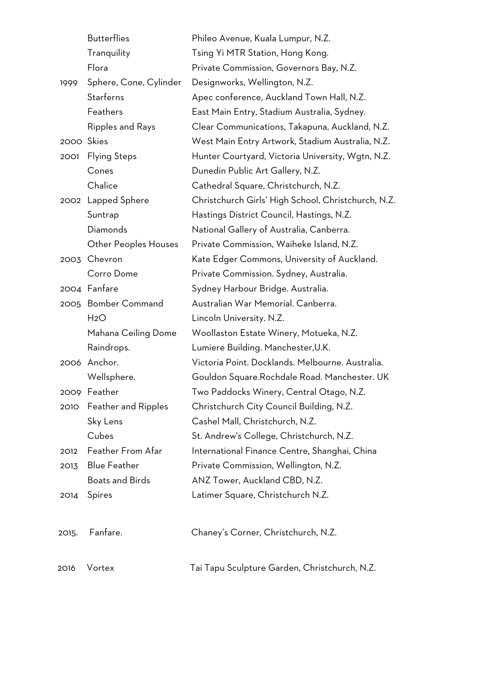|            | <b>Butterflies</b>          | Phileo Avenue, Kuala Lumpur, N.Z.                   |
|------------|-----------------------------|-----------------------------------------------------|
|            | Tranquility                 | Tsing Yi MTR Station, Hong Kong.                    |
|            | Flora                       | Private Commission, Governors Bay, N.Z.             |
| 1999       | Sphere, Cone, Cylinder      | Designworks, Wellington, N.Z.                       |
|            | <b>Starferns</b>            | Apec conference, Auckland Town Hall, N.Z.           |
|            | Feathers                    | East Main Entry, Stadium Australia, Sydney.         |
|            | Ripples and Rays            | Clear Communications, Takapuna, Auckland, N.Z.      |
| 2000 Skies |                             | West Main Entry Artwork, Stadium Australia, N.Z.    |
| 2001       | <b>Flying Steps</b>         | Hunter Courtyard, Victoria University, Wgtn, N.Z.   |
|            | Cones                       | Dunedin Public Art Gallery, N.Z.                    |
|            | Chalice                     | Cathedral Square, Christchurch, N.Z.                |
|            | 2002 Lapped Sphere          | Christchurch Girls' High School, Christchurch, N.Z. |
|            | Suntrap                     | Hastings District Council, Hastings, N.Z.           |
|            | Diamonds                    | National Gallery of Australia, Canberra.            |
|            | <b>Other Peoples Houses</b> | Private Commission, Waiheke Island, N.Z.            |
|            | 2003 Chevron                | Kate Edger Commons, University of Auckland.         |
|            | Corro Dome                  | Private Commission. Sydney, Australia.              |
|            | 2004 Fanfare                | Sydney Harbour Bridge. Australia.                   |
|            | 2005 Bomber Command         | Australian War Memorial. Canberra.                  |
|            | H <sub>2</sub> O            | Lincoln University. N.Z.                            |
|            | Mahana Ceiling Dome         | Woollaston Estate Winery, Motueka, N.Z.             |
|            | Raindrops.                  | Lumiere Building. Manchester, U.K.                  |
|            | 2006 Anchor.                | Victoria Point. Docklands. Melbourne. Australia.    |
|            | Wellsphere.                 | Gouldon Square.Rochdale Road. Manchester. UK        |
|            | 2009 Feather                | Two Paddocks Winery, Central Otago, N.Z.            |
| 2010       | <b>Feather and Ripples</b>  | Christchurch City Council Building, N.Z.            |
|            | Sky Lens                    | Cashel Mall, Christchurch, N.Z.                     |
|            | Cubes                       | St. Andrew's College, Christchurch, N.Z.            |
| 2012       | Feather From Afar           | International Finance Centre, Shanghai, China       |
| 2013       | <b>Blue Feather</b>         | Private Commission, Wellington, N.Z.                |
|            | <b>Boats and Birds</b>      | ANZ Tower, Auckland CBD, N.Z.                       |
| 2014       | Spires                      | Latimer Square, Christchurch N.Z.                   |
| 2015.      | Fanfare.                    | Chaney's Corner, Christchurch, N.Z.                 |
| 2016       | Vortex                      | Tai Tapu Sculpture Garden, Christchurch, N.Z.       |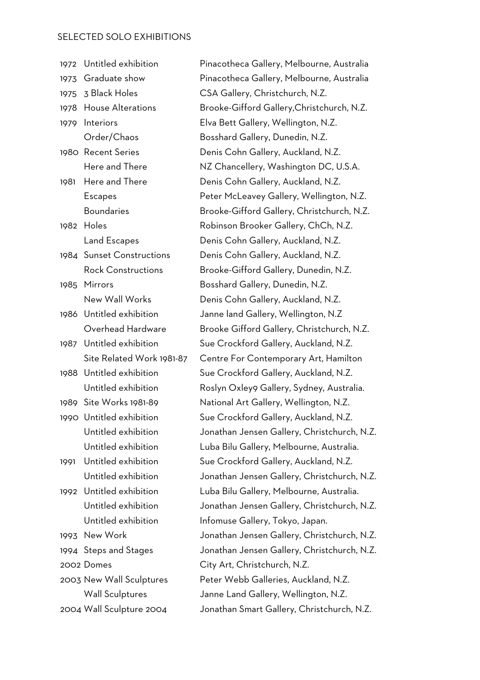## SELECTED SOLO EXHIBITIONS

| 1972 | Untitled exhibition       | Pinacotheca Gallery, Melbourne, Australia   |
|------|---------------------------|---------------------------------------------|
| 1973 | Graduate show             | Pinacotheca Gallery, Melbourne, Australia   |
| 1975 | 3 Black Holes             | CSA Gallery, Christchurch, N.Z.             |
| 1978 | <b>House Alterations</b>  | Brooke-Gifford Gallery, Christchurch, N.Z.  |
| 1979 | Interiors                 | Elva Bett Gallery, Wellington, N.Z.         |
|      | Order/Chaos               | Bosshard Gallery, Dunedin, N.Z.             |
|      | 1980 Recent Series        | Denis Cohn Gallery, Auckland, N.Z.          |
|      | Here and There            | NZ Chancellery, Washington DC, U.S.A.       |
| 1981 | Here and There            | Denis Cohn Gallery, Auckland, N.Z.          |
|      | <b>Escapes</b>            | Peter McLeavey Gallery, Wellington, N.Z.    |
|      | <b>Boundaries</b>         | Brooke-Gifford Gallery, Christchurch, N.Z.  |
| 1982 | Holes                     | Robinson Brooker Gallery, ChCh, N.Z.        |
|      | Land Escapes              | Denis Cohn Gallery, Auckland, N.Z.          |
|      | 1984 Sunset Constructions | Denis Cohn Gallery, Auckland, N.Z.          |
|      | <b>Rock Constructions</b> | Brooke-Gifford Gallery, Dunedin, N.Z.       |
| 1985 | Mirrors                   | Bosshard Gallery, Dunedin, N.Z.             |
|      | New Wall Works            | Denis Cohn Gallery, Auckland, N.Z.          |
| 1986 | Untitled exhibition       | Janne land Gallery, Wellington, N.Z         |
|      | Overhead Hardware         | Brooke Gifford Gallery, Christchurch, N.Z.  |
| 1987 | Untitled exhibition       | Sue Crockford Gallery, Auckland, N.Z.       |
|      | Site Related Work 1981-87 | Centre For Contemporary Art, Hamilton       |
| 1988 | Untitled exhibition       | Sue Crockford Gallery, Auckland, N.Z.       |
|      | Untitled exhibition       | Roslyn Oxley9 Gallery, Sydney, Australia.   |
|      | 1989 Site Works 1981-89   | National Art Gallery, Wellington, N.Z.      |
|      | 1990 Untitled exhibition  | Sue Crockford Gallery, Auckland, N.Z.       |
|      | Untitled exhibition       | Jonathan Jensen Gallery, Christchurch, N.Z. |
|      | Untitled exhibition       | Luba Bilu Gallery, Melbourne, Australia.    |
| 1991 | Untitled exhibition       | Sue Crockford Gallery, Auckland, N.Z.       |
|      | Untitled exhibition       | Jonathan Jensen Gallery, Christchurch, N.Z. |
| 1992 | Untitled exhibition       | Luba Bilu Gallery, Melbourne, Australia.    |
|      | Untitled exhibition       | Jonathan Jensen Gallery, Christchurch, N.Z. |
|      | Untitled exhibition       | Infomuse Gallery, Tokyo, Japan.             |
| 1993 | New Work                  | Jonathan Jensen Gallery, Christchurch, N.Z. |
|      | 1994 Steps and Stages     | Jonathan Jensen Gallery, Christchurch, N.Z. |
|      | 2002 Domes                | City Art, Christchurch, N.Z.                |
|      | 2003 New Wall Sculptures  | Peter Webb Galleries, Auckland, N.Z.        |
|      | <b>Wall Sculptures</b>    | Janne Land Gallery, Wellington, N.Z.        |
|      | 2004 Wall Sculpture 2004  | Jonathan Smart Gallery, Christchurch, N.Z.  |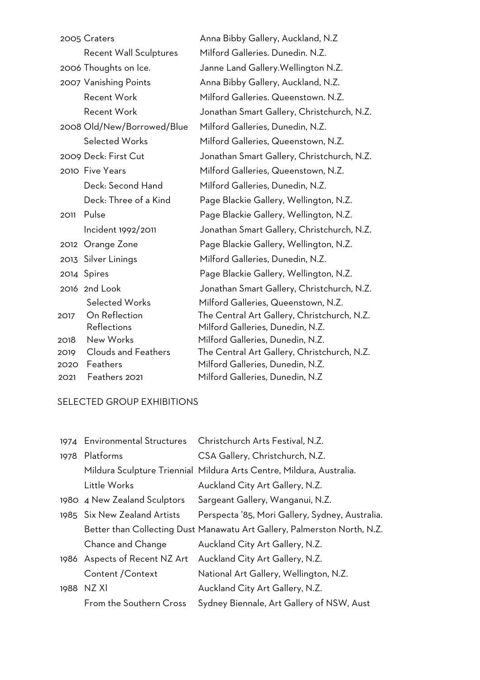|      | 2005 Craters                  | Anna Bibby Gallery, Auckland, N.Z           |
|------|-------------------------------|---------------------------------------------|
|      | <b>Recent Wall Sculptures</b> | Milford Galleries. Dunedin. N.Z.            |
|      | 2006 Thoughts on Ice.         | Janne Land Gallery. Wellington N.Z.         |
|      | 2007 Vanishing Points         | Anna Bibby Gallery, Auckland, N.Z.          |
|      | <b>Recent Work</b>            | Milford Galleries. Queenstown. N.Z.         |
|      | <b>Recent Work</b>            | Jonathan Smart Gallery, Christchurch, N.Z.  |
|      | 2008 Old/New/Borrowed/Blue    | Milford Galleries, Dunedin, N.Z.            |
|      | <b>Selected Works</b>         | Milford Galleries, Queenstown, N.Z.         |
|      | 2009 Deck: First Cut          | Jonathan Smart Gallery, Christchurch, N.Z.  |
|      | 2010 Five Years               | Milford Galleries, Queenstown, N.Z.         |
|      | Deck: Second Hand             | Milford Galleries, Dunedin, N.Z.            |
|      | Deck: Three of a Kind         | Page Blackie Gallery, Wellington, N.Z.      |
| 2011 | Pulse                         | Page Blackie Gallery, Wellington, N.Z.      |
|      | Incident 1992/2011            | Jonathan Smart Gallery, Christchurch, N.Z.  |
|      | 2012 Orange Zone              | Page Blackie Gallery, Wellington, N.Z.      |
|      | 2013 Silver Linings           | Milford Galleries, Dunedin, N.Z.            |
|      | 2014 Spires                   | Page Blackie Gallery, Wellington, N.Z.      |
|      | 2016 2nd Look                 | Jonathan Smart Gallery, Christchurch, N.Z.  |
|      | <b>Selected Works</b>         | Milford Galleries, Queenstown, N.Z.         |
| 2017 | On Reflection                 | The Central Art Gallery, Christchurch, N.Z. |
|      | Reflections                   | Milford Galleries, Dunedin, N.Z.            |
| 2018 | New Works                     | Milford Galleries, Dunedin, N.Z.            |
| 2019 | <b>Clouds and Feathers</b>    | The Central Art Gallery, Christchurch, N.Z. |
| 2020 | Feathers                      | Milford Galleries, Dunedin, N.Z.            |
| 2021 | Feathers 2021                 | Milford Galleries, Dunedin, N.Z             |

## SELECTED GROUP EXHIBITIONS

| 1974 Environmental Structures | Christchurch Arts Festival, N.Z.                                         |
|-------------------------------|--------------------------------------------------------------------------|
| 1978 Platforms                | CSA Gallery, Christchurch, N.Z.                                          |
|                               | Mildura Sculpture Triennial Mildura Arts Centre, Mildura, Australia.     |
| Little Works                  | Auckland City Art Gallery, N.Z.                                          |
| 1980 4 New Zealand Sculptors  | Sargeant Gallery, Wanganui, N.Z.                                         |
| 1985 Six New Zealand Artists  | Perspecta '85, Mori Gallery, Sydney, Australia.                          |
|                               | Better than Collecting Dust Manawatu Art Gallery, Palmerston North, N.Z. |
| Chance and Change             | Auckland City Art Gallery, N.Z.                                          |
| 1986 Aspects of Recent NZ Art | Auckland City Art Gallery, N.Z.                                          |
| Content / Context             | National Art Gallery, Wellington, N.Z.                                   |
| 1988 NZ XI                    | Auckland City Art Gallery, N.Z.                                          |
| From the Southern Cross       | Sydney Biennale, Art Gallery of NSW, Aust                                |